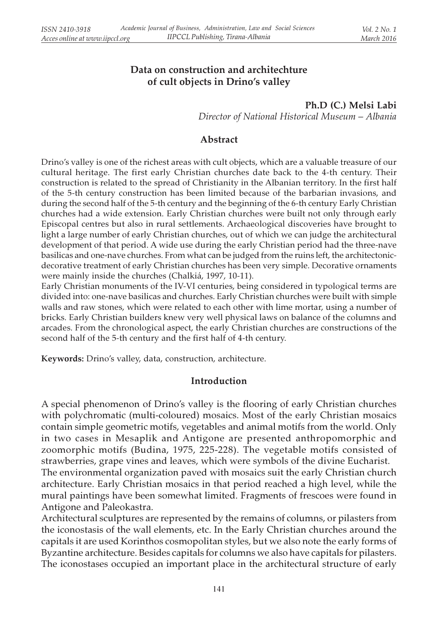# Data on construction and architechture of cult objects in Drino's valley

Ph.D (C.) Melsi Labi Director of National Historical Museum – Albania

## Abstract

Drino's valley is one of the richest areas with cult objects, which are a valuable treasure of our cultural heritage. The first early Christian churches date back to the 4-th century. Their construction is related to the spread of Christianity in the Albanian territory. In the first half of the 5-th century construction has been limited because of the barbarian invasions, and during the second half of the 5-th century and the beginning of the 6-th century Early Christian churches had a wide extension. Early Christian churches were built not only through early Episcopal centres but also in rural settlements. Archaeological discoveries have brought to light a large number of early Christian churches, out of which we can judge the architectural development of that period. A wide use during the early Christian period had the three-nave basilicas and one-nave churches. From what can be judged from the ruins left, the architectonicdecorative treatment of early Christian churches has been very simple. Decorative ornaments were mainly inside the churches (Chalkiá, 1997, 10-11).

Early Christian monuments of the IV-VI centuries, being considered in typological terms are divided into: one-nave basilicas and churches. Early Christian churches were built with simple walls and raw stones, which were related to each other with lime mortar, using a number of bricks. Early Christian builders knew very well physical laws on balance of the columns and arcades. From the chronological aspect, the early Christian churches are constructions of the second half of the 5-th century and the first half of 4-th century.

Keywords: Drino's valley, data, construction, architecture.

### Introduction

A special phenomenon of Drino's valley is the flooring of early Christian churches with polychromatic (multi-coloured) mosaics. Most of the early Christian mosaics contain simple geometric motifs, vegetables and animal motifs from the world. Only in two cases in Mesaplik and Antigone are presented anthropomorphic and zoomorphic motifs (Budina, 1975, 225-228). The vegetable motifs consisted of strawberries, grape vines and leaves, which were symbols of the divine Eucharist. The environmental organization paved with mosaics suit the early Christian church architecture. Early Christian mosaics in that period reached a high level, while the

mural paintings have been somewhat limited. Fragments of frescoes were found in Antigone and Paleokastra. Architectural sculptures are represented by the remains of columns, or pilasters from

the iconostasis of the wall elements, etc. In the Early Christian churches around the capitals it are used Korinthos cosmopolitan styles, but we also note the early forms of Byzantine architecture. Besides capitals for columns we also have capitals for pilasters. The iconostases occupied an important place in the architectural structure of early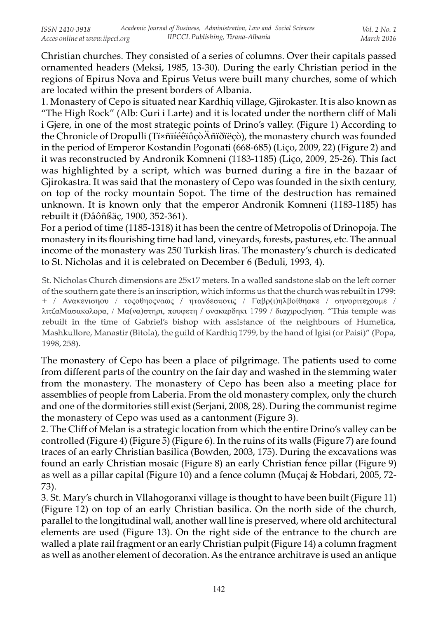Christian churches. They consisted of a series of columns. Over their capitals passed ornamented headers (Meksi, 1985, 13-30). During the early Christian period in the regions of Epirus Nova and Epirus Vetus were built many churches, some of which are located within the present borders of Albania.

1. Monastery of Cepo is situated near Kardhiq village, Gjirokaster. It is also known as "The High Rock" (Alb: Guri i Larte) and it is located under the northern cliff of Mali i Gjere, in one of the most strategic points of Drino's valley. (Figure 1) According to the Chronicle of Dropulli (Tï×ñïíéêïôçòÄñïðïëçò), the monastery church was founded in the period of Emperor Kostandin Pogonati (668-685) (Liço, 2009, 22) (Figure 2) and it was reconstructed by Andronik Komneni (1183-1185) (Liço, 2009, 25-26). This fact was highlighted by a script, which was burned during a fire in the bazaar of Gjirokastra. It was said that the monastery of Cepo was founded in the sixth century, on top of the rocky mountain Sopot. The time of the destruction has remained unknown. It is known only that the emperor Andronik Komneni (1183-1185) has rebuilt it (Ðåôñßäç, 1900, 352-361).

For a period of time (1185-1318) it has been the centre of Metropolis of Drinopoja. The monastery in its flourishing time had land, vineyards, forests, pastures, etc. The annual income of the monastery was 250 Turkish liras. The monastery's church is dedicated to St. Nicholas and it is celebrated on December 6 (Beduli, 1993, 4).

St. Nicholas Church dimensions are 25x17 meters. In a walled sandstone slab on the left corner of the southern gate there is an inscription, which informs us that the church was rebuilt in 1799: + / Ανακενισηου / τοςοθηοςναως / ητανδεσποτις / Γαβρ(1)ηλβοίθηακε / σηνοριτεχουμε / λιτζαΜασακολορα, / Μα(να)στηρι, πουφετη / ονακαρδηκι 1799 / διαχιροςΙγιση. "This temple was rebuilt in the time of Gabriel's bishop with assistance of the neighbours of Humelica, Mashkullore, Manastir (Bitola), the guild of Kardhiq 1799, by the hand of Igisi (or Paisi)" (Popa, 1998, 258).

The monastery of Cepo has been a place of pilgrimage. The patients used to come from different parts of the country on the fair day and washed in the stemming water from the monastery. The monastery of Cepo has been also a meeting place for assemblies of people from Laberia. From the old monastery complex, only the church and one of the dormitories still exist (Serjani, 2008, 28). During the communist regime the monastery of Cepo was used as a cantonment (Figure 3).

2. The Cliff of Melan is a strategic location from which the entire Drino's valley can be controlled (Figure 4) (Figure 5) (Figure 6). In the ruins of its walls (Figure 7) are found traces of an early Christian basilica (Bowden, 2003, 175). During the excavations was found an early Christian mosaic (Figure 8) an early Christian fence pillar (Figure 9) as well as a pillar capital (Figure 10) and a fence column (Muçaj & Hobdari, 2005, 72- 73).

3. St. Mary's church in Vllahogoranxi village is thought to have been built (Figure 11) (Figure 12) on top of an early Christian basilica. On the north side of the church, parallel to the longitudinal wall, another wall line is preserved, where old architectural elements are used (Figure 13). On the right side of the entrance to the church are walled a plate rail fragment or an early Christian pulpit (Figure 14) a column fragment as well as another element of decoration. As the entrance architrave is used an antique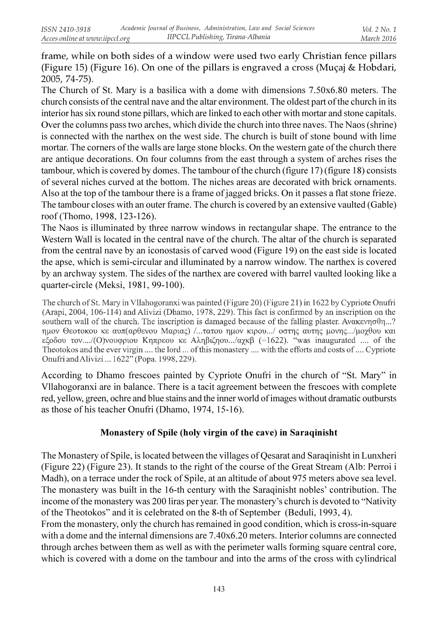frame, while on both sides of a window were used two early Christian fence pillars (Figure 15) (Figure 16). On one of the pillars is engraved a cross (Muçaj & Hobdari, 2005, 74-75).

The Church of St. Mary is a basilica with a dome with dimensions 7.50x6.80 meters. The church consists of the central nave and the altar environment. The oldest part of the church in its interior has six round stone pillars, which are linked to each other with mortar and stone capitals. Over the columns pass two arches, which divide the church into three naves. The Naos (shrine) is connected with the narthex on the west side. The church is built of stone bound with lime mortar. The corners of the walls are large stone blocks. On the western gate of the church there are antique decorations. On four columns from the east through a system of arches rises the tambour, which is covered by domes. The tambour of the church (figure 17) (figure 18) consists of several niches curved at the bottom. The niches areas are decorated with brick ornaments. Also at the top of the tambour there is a frame of jagged bricks. On it passes a flat stone frieze. The tambour closes with an outer frame. The church is covered by an extensive vaulted (Gable) roof (Thomo, 1998, 123-126).

The Naos is illuminated by three narrow windows in rectangular shape. The entrance to the Western Wall is located in the central nave of the church. The altar of the church is separated from the central nave by an iconostasis of carved wood (Figure 19) on the east side is located the apse, which is semi-circular and illuminated by a narrow window. The narthex is covered by an archway system. The sides of the narthex are covered with barrel vaulted looking like a quarter-circle (Meksi, 1981, 99-100).

The church of St. Mary in Vllahogoranxi was painted (Figure 20) (Figure 21) in 1622 by Cypriote Onufri (Arapi, 2004, 106-114) and Alivizi (Dhamo, 1978, 229). This fact is confirmed by an inscription on the southern wall of the church. The inscription is damaged because of the falling plaster. Aνακενησθη...? ημον Θεοτοκου κε αυπ(αρθενου Μαριας) /...τατου ημον κιρου.../ οστης αυτης μονης.../μοχθου και εξοδου τον..../(Ο)νουφριου Κηπρεου κε Αληβιζηου.../αχκβ (=1622). "was inaugurated .... of the Theotokos and the ever virgin .... the lord ... of this monastery .... with the efforts and costs of .... Cypriote Onufri and Alivizi ... 1622" (Popa. 1998, 229).

According to Dhamo frescoes painted by Cypriote Onufri in the church of "St. Mary" in Vllahogoranxi are in balance. There is a tacit agreement between the frescoes with complete red, yellow, green, ochre and blue stains and the inner world of images without dramatic outbursts as those of his teacher Onufri (Dhamo, 1974, 15-16).

### Monastery of Spile (holy virgin of the cave) in Saraqinisht

The Monastery of Spile, is located between the villages of Qesarat and Saraqinisht in Lunxheri (Figure 22) (Figure 23). It stands to the right of the course of the Great Stream (Alb: Perroi i Madh), on a terrace under the rock of Spile, at an altitude of about 975 meters above sea level. The monastery was built in the 16-th century with the Saraqinisht nobles' contribution. The income of the monastery was 200 liras per year. The monastery's church is devoted to "Nativity of the Theotokos" and it is celebrated on the 8-th of September (Beduli, 1993, 4).

From the monastery, only the church has remained in good condition, which is cross-in-square with a dome and the internal dimensions are 7.40x6.20 meters. Interior columns are connected through arches between them as well as with the perimeter walls forming square central core, which is covered with a dome on the tambour and into the arms of the cross with cylindrical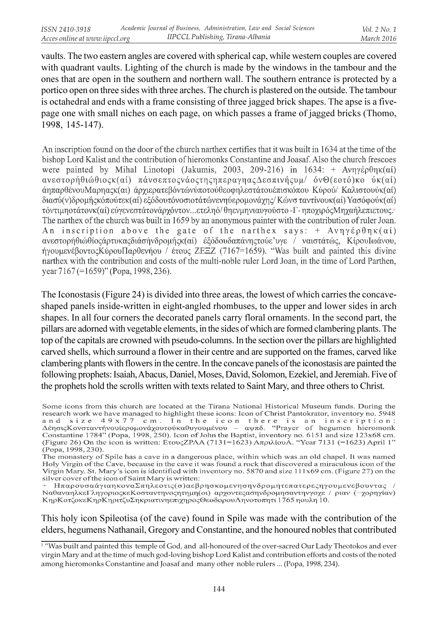vaults. The two eastern angles are covered with spherical cap, while western couples are covered with quadrant vaults. Lighting of the church is made by the windows in the tambour and the ones that are open in the southern and northern wall. The southern entrance is protected by a portico open on three sides with three arches. The church is plastered on the outside. The tambour is octahedral and ends with a frame consisting of three jagged brick shapes. The apse is a fivepage one with small niches on each page, on which passes a frame of jagged bricks (Thomo, 1998, 145-147).

An inscription found on the door of the church narthex certifies that it was built in 1634 at the time of the bishop Lord Kalist and the contribution of hieromonks Constantine and Joasaf. Also the church frescoes were painted by Mihal Linotopi (Jakumis, 2003, 209-216) in 1634: +  $\text{Av}\eta\gamma\epsilon\rho\theta\eta\kappa(\alpha\mathbf{i})$ ανεστορήθιώθιοςκ(αί) πάνσεπτοςνάοςτης ηπεραγηας Δεσπινής υμ/ όν Θ(εοτό)κο ύκ(αί) άηπαρθένουΜαρηαςκ(αι) άρχιερατεβόντώνύποτούθεοφηλεστάτουέπισκόπου Κύρού/ Καλιστουύκ(αί) διασύ(ν)δρομήςκόπούτεκ(αί) εξόδουτόνοσιοτάτώνενηύερομονάχης/ Κώνσ ταντίνουκ(αί) Υασόφούκ(αί) τόντιμηστάτονκ(αί) εύγενεστάτονάρχόντον...ετεληό/ θηενμηνιαυγούστο -Γ- ηποχιρός Μηχαήλεπιετους. The narthex of the church was built in 1659 by an anonymous painter with the contribution of ruler Joan. An inscription above the gate of the narthex says: +  $A\nu\eta\gamma\epsilon\rho\theta\eta\kappa(\alpha i)$ ανεστορήθιώθίος άρτυκας διάσήνδρομής κ(αί) έξόδουδαπάνης τούε' υγε / ναιστάτώς, Κίρου Ιωάνου, ήγουμενέβοντος Κύρου Παρθενήου / έτους ΖΕΞΖ (7167=1659). "Was built and painted this divine narthex with the contribution and costs of the multi-noble ruler Lord Joan, in the time of Lord Parthen, year 7167 (=1659)" (Popa, 1998, 236).

The Iconostasis (Figure 24) is divided into three areas, the lowest of which carries the concaveshaped panels inside-written in eight-angled rhombuses, to the upper and lower sides in arch shapes. In all four corners the decorated panels carry floral ornaments. In the second part, the pillars are adorned with vegetable elements, in the sides of which are formed clambering plants. The top of the capitals are crowned with pseudo-columns. In the section over the pillars are highlighted carved shells, which surround a flower in their centre and are supported on the frames, carved like clambering plants with flowers in the centre. In the concave panels of the iconostasis are painted the following prophets: Isaiah, Abacus, Daniel, Moses, David, Solomon, Ezekiel, and Jeremiah. Five of the prophets hold the scrolls written with texts related to Saint Mary, and three others to Christ.

ΗπαρουσαάγιαηκοναΣπηλεοτις(σ)αεβρησκομενησηνδρομητεπατερεςηγουμενεβουντας ΝαθαναηλκεΓληγοριοςκεΚοσταντηνοςητημη(οι) αρχοντεςασηνδρομησαντηνγοχε / ριαν (=χορηγίαν) ΚηρΚοτζοκεΚηρΚηριτζυΣηκριατινηεπιχηροςΘεοδορουΛηνοτοπητι 1765 ηουλη 10.

This holy icon Spileotisa (of the cave) found in Spile was made with the contribution of the elders, hegumens Nathanail, Gregory and Constantine, and the honoured nobles that contributed

Some icons from this church are located at the Tirana National Historical Museum funds. During the research work we have managed to highlight these icons: Icon of Christ Pantokrator, inventory no. 5948 can d size 49 x 77 cm. In the icon there is an inscription:<br>Δέησις Κονσταντήνουίερομονά χουτούκαθυγουμένου – αψπδ. "Prayer of hegumen hieromonk Constantine 1784" (Popa, 1998, 250). Icon of John the Baptist, inventory no. 6151 and size 123x68 cm. (Figure 26) On the icon is written: Ετους ΖΡΛΑ (7131=1623) ΑπριλίουΑ. "Year 7131 (=1623) April 1" (Popa, 1998, 230).

The monastery of Spile has a cave in a dangerous place, within which was an old chapel. It was named Holy Virgin of the Cave, because in the cave it was found a rock that discovered a miraculous icon of the Virgin Mary. St. Mary's icon is identified with inventory no. 5870 and size 111x69 cm. (Figure 27) on the silver cover of the icon of Saint Mary is written:

<sup>1</sup> "Was built and painted this temple of God, and all-honoured of the over-sacred Our Lady Theotokos and ever virgin Mary and at the time of much god-loving bishop Lord Kalist and contribution efforts and costs of the noted among hieromonks Constantine and Joasaf and many other noble rulers ... (Popa, 1998, 234).